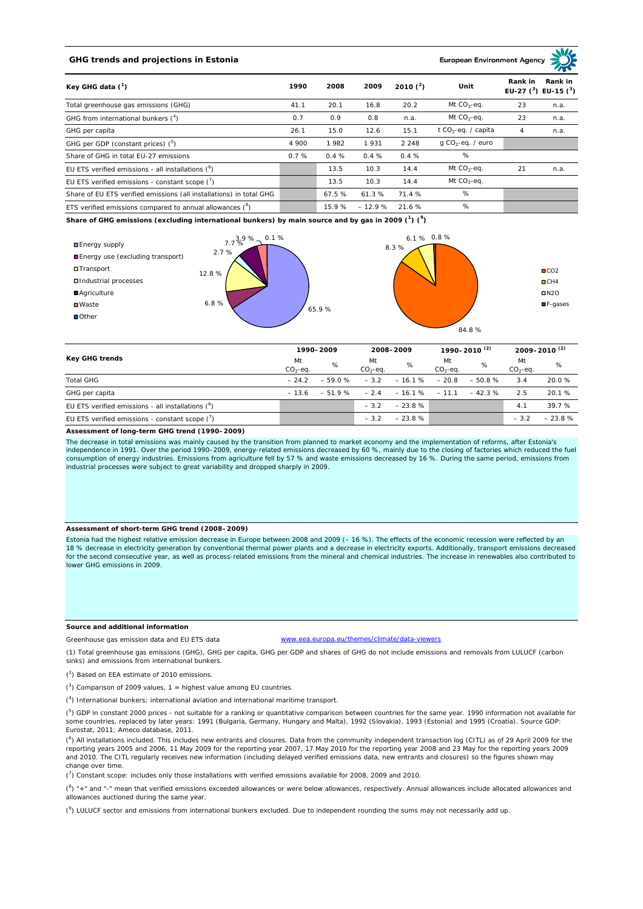# **GHG trends and projections in Estonia**

#### **European Environment Ag**

| Key GHG data $(^1)$                                                 |       | 2008   | 2009     | 2010 $(^{2})$ | Unit                            | Rank in<br>Rank in<br>EU-27 $(^3)$ EU-15 $(^3)$ |      |
|---------------------------------------------------------------------|-------|--------|----------|---------------|---------------------------------|-------------------------------------------------|------|
| Total greenhouse gas emissions (GHG)                                | 41.1  | 20.1   | 16.8     | 20.2          | Mt $CO2$ -eq.                   | 23                                              | n.a. |
| GHG from international bunkers $(^4)$                               | 0.7   | 0.9    | 0.8      | n.a.          | Mt $CO_2$ -eq.                  | 23                                              | n.a. |
| GHG per capita                                                      | 26.1  | 15.0   | 12.6     | 15.1          | t CO <sub>2</sub> -eq. / capita | 4                                               | n.a. |
| GHG per GDP (constant prices) (5)                                   | 4 900 | 1982   | 1931     | 2 2 4 8       | $q$ CO <sub>2</sub> -eq. / euro |                                                 |      |
| Share of GHG in total EU-27 emissions                               | 0.7%  | 0.4%   | 0.4%     | 0.4%          | %                               |                                                 |      |
| EU ETS verified emissions - all installations $(^6)$                |       | 13.5   | 10.3     | 14.4          | Mt $CO_2$ -eq.                  | 21                                              | n.a. |
| EU ETS verified emissions - constant scope $(7)$                    |       | 13.5   | 10.3     | 14.4          | Mt $CO_2$ -eq.                  |                                                 |      |
| Share of EU ETS verified emissions (all installations) in total GHG |       | 67.5 % | 61.3%    | 71.4 %        | %                               |                                                 |      |
| ETS verified emissions compared to annual allowances $(^8)$         |       | 15.9%  | $-12.9%$ | 21.6 %        | %                               |                                                 |      |

**Share of GHG emissions (excluding international bunkers) by main source and by gas in 2009 (<sup>1</sup> ) (<sup>9</sup> )**



| Key GHG trends                                       |                 | 1990-2009 |                 | 2008-2009              |                 | 1990-2010 <sup>(2)</sup> |                 | 2009-2010 <sup>(2)</sup> |  |
|------------------------------------------------------|-----------------|-----------|-----------------|------------------------|-----------------|--------------------------|-----------------|--------------------------|--|
|                                                      | Mt<br>$CO2-eq.$ | %         | Mt<br>$CO2-eq.$ | %                      | Mt<br>$CO2-eq.$ | %                        | Mt<br>$CO2-eq.$ | %                        |  |
| <b>Total GHG</b>                                     | $-24.2$         | $-59.0%$  | $-3.2$          | $-16.1%$               | $-20.8$         | $-50.8%$                 | 3.4             | 20.0 %                   |  |
| GHG per capita                                       | $-136$          | $-51.9%$  |                 | $-2.4 - 16.1\% - 11.1$ |                 | $-42.3%$                 | 2.5             | 20.1 %                   |  |
| EU ETS verified emissions - all installations $(^6)$ |                 |           | $-3.2$          | $-23.8%$               |                 |                          | 4.7             | 39.7%                    |  |
| EU ETS verified emissions - constant scope $(7)$     |                 |           | $-3.2$          | $-23.8%$               |                 |                          | $-3.2$          | $-23.8%$                 |  |

#### **Assessment of long-term GHG trend (1990–2009)**

The decrease in total emissions was mainly caused by the transition from planned to market economy and the implementation of reforms, after Estonia's independence in 1991. Over the period 1990–2009, energy-related emissions decreased by 60 %, mainly due to the closing of factories which reduced the fuel consumption of energy industries. Emissions from agriculture fell by 57 % and waste emissions decreased by 16 %. During the same period, emissions from<br>industrial processes were subject to great variability and dropped sha

## **Assessment of short-term GHG trend (2008–2009)**

Estonia had the highest relative emission decrease in Europe between 2008 and 2009 (– 16 %). The effects of the economic recession were reflected by an 18 % decrease in electricity generation by conventional thermal power plants and a decrease in electricity exports. Additionally, transport emissions decreased for the second consecutive year, as well as process-related emissions from the mineral and chemical industries. The increase in renewables also contributed to lower GHG emissions in 2009.

## **Source and additional information**

www.eea.europa.eu/themes/climate/data-viewers

(1) Total greenhouse gas emissions (GHG), GHG per capita, GHG per GDP and shares of GHG do not include emissions and removals from LULUCF (carbon sinks) and emissions from international bunkers.

( 2 ) Based on EEA estimate of 2010 emissions.

Greenhouse gas emission data and EU ETS data

 $(3)$  Comparison of 2009 values, 1 = highest value among EU countries.

( 4 ) International bunkers: international aviation and international maritime transport.

 $(^{5})$  GDP in constant 2000 prices - not suitable for a ranking or quantitative comparison between countries for the same year. 1990 information not available for some countries, replaced by later years: 1991 (Bulgaria, Germany, Hungary and Malta), 1992 (Slovakia), 1993 (Estonia) and 1995 (Croatia). Source GDP: Eurostat, 2011; Ameco database, 2011.

(<sup>6</sup>) All installations included. This includes new entrants and closures. Data from the community independent transaction log (CITL) as of 29 April 2009 for the<br>reporting years 2005 and 2006, 11 May 2009 for the reporting and 2010. The CITL regularly receives new information (including delayed verified emissions data, new entrants and closures) so the figures shown may change over time.

 $\binom{7}{1}$  Constant scope: includes only those installations with verified emissions available for 2008, 2009 and 2010.

 $(^{8}$ ) " $+$ " and "-" mean that verified emissions exceeded allowances or were below allowances, respectively. Annual allowances include allocated allowances and allowances auctioned during the same year.

 $(2)$  LULUCF sector and emissions from international bunkers excluded. Due to independent rounding the sums may not necessarily add up.